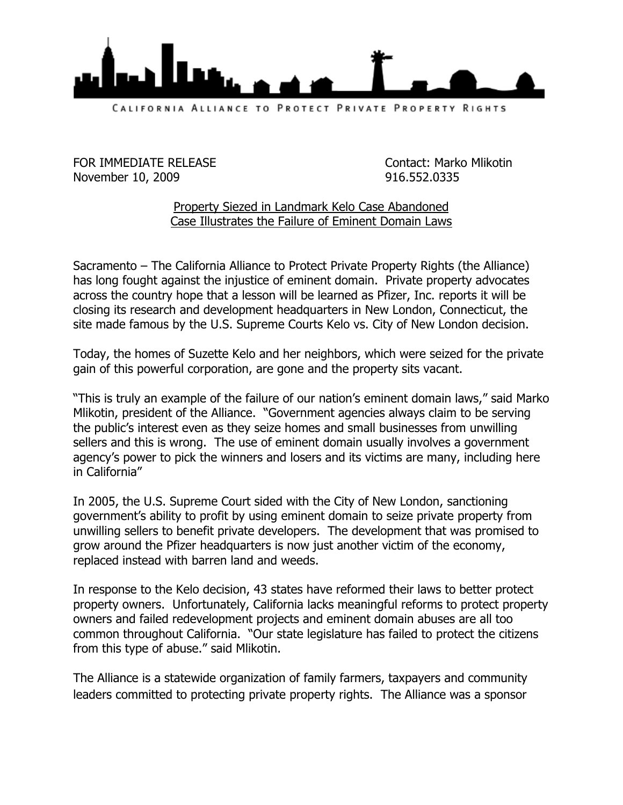

FOR IMMEDIATE RELEASE CONTACT: Marko Mlikotin November 10, 2009 916.552.0335

## Property Siezed in Landmark Kelo Case Abandoned Case Illustrates the Failure of Eminent Domain Laws

Sacramento – The California Alliance to Protect Private Property Rights (the Alliance) has long fought against the injustice of eminent domain. Private property advocates across the country hope that a lesson will be learned as Pfizer, Inc. reports it will be closing its research and development headquarters in New London, Connecticut, the site made famous by the U.S. Supreme Courts Kelo vs. City of New London decision.

Today, the homes of Suzette Kelo and her neighbors, which were seized for the private gain of this powerful corporation, are gone and the property sits vacant.

"This is truly an example of the failure of our nation's eminent domain laws," said Marko Mlikotin, president of the Alliance. "Government agencies always claim to be serving the public's interest even as they seize homes and small businesses from unwilling sellers and this is wrong. The use of eminent domain usually involves a government agency's power to pick the winners and losers and its victims are many, including here in California"

In 2005, the U.S. Supreme Court sided with the City of New London, sanctioning government's ability to profit by using eminent domain to seize private property from unwilling sellers to benefit private developers. The development that was promised to grow around the Pfizer headquarters is now just another victim of the economy, replaced instead with barren land and weeds.

In response to the Kelo decision, 43 states have reformed their laws to better protect property owners. Unfortunately, California lacks meaningful reforms to protect property owners and failed redevelopment projects and eminent domain abuses are all too common throughout California. "Our state legislature has failed to protect the citizens from this type of abuse." said Mlikotin.

The Alliance is a statewide organization of family farmers, taxpayers and community leaders committed to protecting private property rights. The Alliance was a sponsor